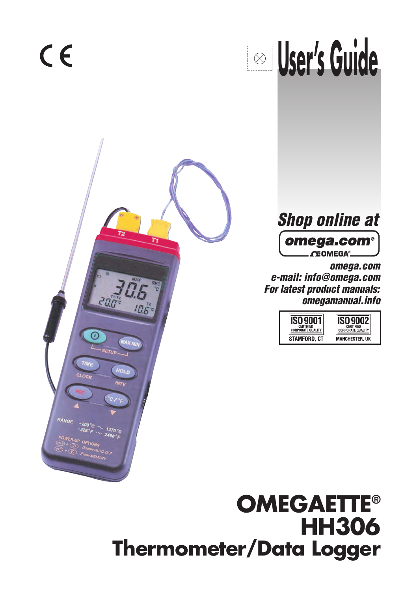$C \in$ 







omega.com e-mail: info@omega.com For latest product manuals: omegamanual.info

| <b>CERTIFIED</b>         | CERTIFIED                |
|--------------------------|--------------------------|
| <b>CORPORATE QUALITY</b> | <b>CORPORATE QUALITY</b> |
| STAMFORD. CT             | <b>MANCHESTER, UK</b>    |

# **OMEGAETTE® HH306 Thermometer/Data Logger**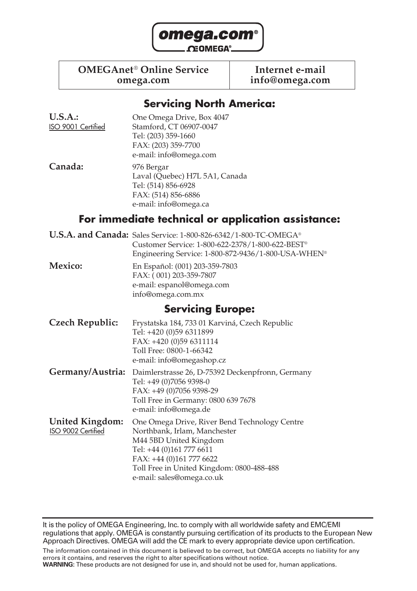

## **OMEGAnet<sup>®</sup> Online Service limited internet e-mail<br>info@omega.com info@omega.com**

**omega.com info@omega.com**

### **Servicing North America:**

| U.S.A.:            | One Omega Drive, Box 4047      |
|--------------------|--------------------------------|
| ISO 9001 Certified | Stamford, CT 06907-0047        |
|                    | Tel: (203) 359-1660            |
|                    | FAX: (203) 359-7700            |
|                    | e-mail: info@omega.com         |
| Canada:            | 976 Bergar                     |
|                    | Laval (Quebec) H7L 5A1, Canada |
|                    | Tel: (514) 856-6928            |
|                    | FAX: (514) 856-6886            |

## **For immediate technical or application assistance:**

**U.S.A. and Canada:** Sales Service: 1-800-826-6342/1-800-TC-OMEGA® Customer Service: 1-800-622-2378/1-800-622-BEST® Engineering Service: 1-800-872-9436/1-800-USA-WHEN®

e-mail: info@omega.ca

**Mexico:** En Español: (001) 203-359-7803 FAX: ( 001) 203-359-7807 e-mail: espanol@omega.com info@omega.com.mx

### **Servicing Europe:**

- **Czech Republic:** Frystatska 184, 733 01 Karviná, Czech Republic Tel: +420 (0)59 6311899 FAX: +420 (0)59 6311114 Toll Free: 0800-1-66342 e-mail: info@omegashop.cz
- **Germany/Austria:** Daimlerstrasse 26, D-75392 Deckenpfronn, Germany Tel: +49 (0)7056 9398-0 FAX: +49 (0)7056 9398-29 Toll Free in Germany: 0800 639 7678 e-mail: info@omega.de
- **United Kingdom:** One Omega Drive, River Bend Technology Centre <br>
180 9002 Certified Morthbank. Irlam. Manchester Northbank, Irlam, Manchester M44 5BD United Kingdom Tel: +44 (0)161 777 6611 FAX: +44 (0)161 777 6622 Toll Free in United Kingdom: 0800-488-488 e-mail: sales@omega.co.uk

It is the policy of OMEGA Engineering, Inc. to comply with all worldwide safety and EMC/EMI regulations that apply. OMEGA is constantly pursuing certification of its products to the European New Approach Directives. OMEGA will add the CE mark to every appropriate device upon certification.

**WARNING:** These products are not designed for use in, and should not be used for, human applications.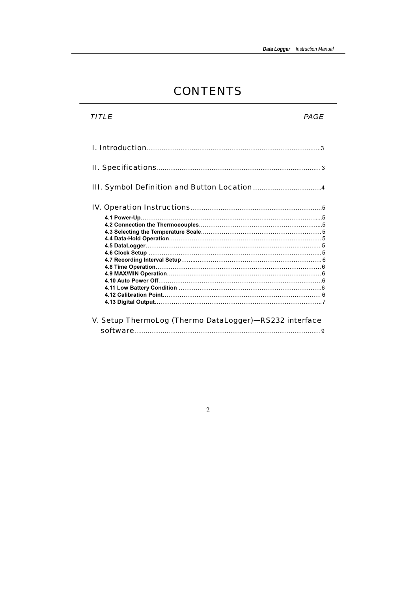## CONTENTS

| TITI F                                                 | <i>PAGF</i> |
|--------------------------------------------------------|-------------|
|                                                        |             |
|                                                        |             |
|                                                        |             |
|                                                        |             |
| V. Setup ThermoLog (Thermo DataLogger)-RS232 interface |             |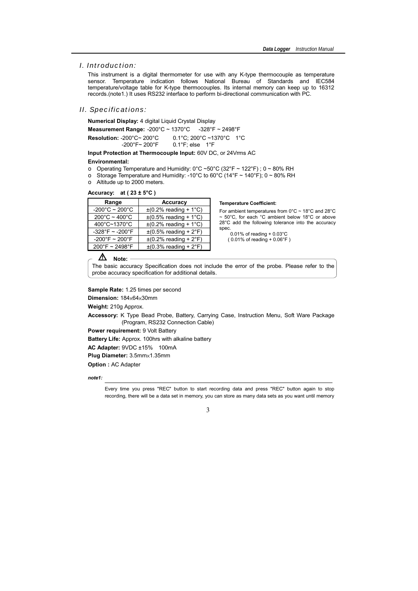#### $I$  Introduction:

This instrument is a digital thermometer for use with any K-type thermocouple as temperature sensor. Temperature indication follows National Bureau of Standards and IEC584 temperature/voltage table for K-type thermocouples. Its internal memory can keep up to 16312 records.(note1.) It uses RS232 interface to perform bi-directional communication with PC.

#### II. Specifications:

Numerical Display: 4 digital Liquid Crystal Display

Measurement Range: -200°C ~ 1370°C  $-328^{\circ}F - 2498^{\circ}F$ Resolution: -200°C~ 200°C 0.1°C: 200°C ~1370°C 1°C  $-200^{\circ}$ F~  $200^{\circ}$ F  $0.1^{\circ}$ F: else  $1^{\circ}$ F

Input Protection at Thermocouple Input: 60V DC, or 24Vrms AC

#### **Environmental:**

- o Operating Temperature and Humidity:  $0^{\circ}$ C ~50 $^{\circ}$ C (32 $^{\circ}$ F ~ 122 $^{\circ}$ F) ; 0 ~ 80% RH
- o Storage Temperature and Humidity: -10°C to 60°C (14°F ~ 140°F); 0 ~ 80% RH
- o Altitude up to 2000 meters.

#### Accuracy: at  $(23 \pm 5^{\circ}\text{C})$

| Range                               | <b>Accuracy</b>                                   |
|-------------------------------------|---------------------------------------------------|
| $-200^{\circ}$ C ~ 200 $^{\circ}$ C | $\pm$ (0.2% reading + 1°C)                        |
| $200^{\circ}$ C ~ 400 $^{\circ}$ C  | $\pm (0.5\% \text{ reading} + 1\degree \text{C})$ |
| 400°C~1370°C                        | $\pm$ (0.2% reading + 1°C)                        |
| $-328^{\circ}F - 200^{\circ}F$      | $\pm (0.5\% \text{ reading} + 2\degree F)$        |
| $-200^{\circ}$ F ~ 200°F            | $\pm (0.2\% \text{ reading} + 2\degree \text{F})$ |
| 200°F ~ 2498°F                      | $\pm$ (0.3% reading + 2°F)                        |

#### **Temperature Coefficient:**

For ambient temperatures from  $0^{\circ}$ C ~ 18°C and 28°C ~ 50°C, for each °C ambient below 18°C or above 28°C add the following tolerance into the accuracy spec.

 $0.01\%$  of reading +  $0.03^{\circ}$ C  $(0.01\% \text{ of reading} + 0.06\degree F)$ 

#### Δ Note: -

The basic accuracy Specification does not include the error of the probe. Please refer to the probe accuracy specification for additional details.

Sample Rate: 1.25 times per second

Dimension: 184x64x30mm

Weight: 210g Approx.

Accessory: K Type Bead Probe, Battery, Carrying Case, Instruction Menu, Soft Ware Package (Program, RS232 Connection Cable)

Power requirement: 9 Volt Battery

**Battery Life: Approx. 100hrs with alkaline battery** 

AC Adapter: 9VDC ±15% 100mA

Plug Diameter: 3.5mm×1.35mm

**Option: AC Adapter** 

note1:

Every time you press "REC" button to start recording data and press "REC" button again to stop recording, there will be a data set in memory, you can store as many data sets as you want until memory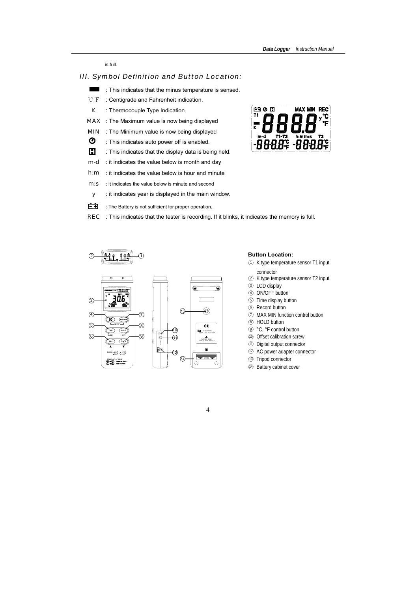is full.

### *III. Symbol Definition and Button Location:*

- **The State**  $\colon$  This indicates that the minus temperature is sensed.
- $^{\circ}$ C $^{\circ}$ F  $\mathrm{F}$  : Centigrade and Fahrenheit indication.
- K : Thermocouple Type Indication
- MAX : The Maximum value is now being displayed
- $\mathsf{MIN}$   $\;\;$  : The Minimum value is now being displayed
- Ø : This indicates auto power off is enabled.
- E. : This indicates that the display data is being held.
- $m-d$ : it indicates the value below is month and day
- $h:m$ : it indicates the value below is hour and minute
- m: s : it indicates the value below is minute and second
- y stit indicates year is displayed in the main window.
- 中刊 : The Battery is not sufficient for proper operation.
- $REC$  : This indicates that the tester is recording. If it blinks, it indicates the memory is full.





#### **Button Location:**

- 1 K type temperature sensor T1 input connector
- 2 K type temperature sensor T2 input
- 3 LCD display
- (4) ON/OFF button
- 5 Time display button
- 6 Record button
- 7 MAX MIN function control button
- 8 HOLD button
- 9 °C, °F control button
- 10 Offset calibration screw
- 11 Digital output connector
- 12 AC power adapter connector
- 13 Tripod connector
- 14 Battery cabinet cover

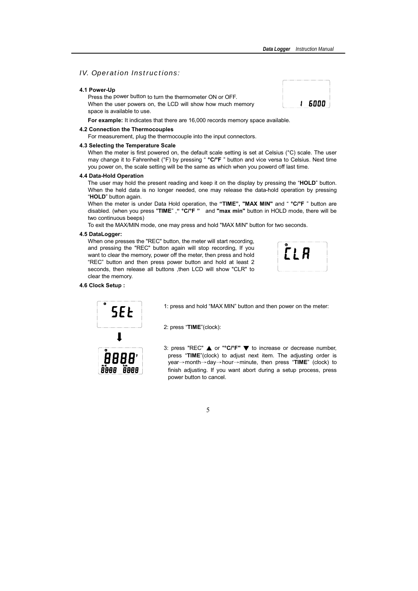## **IV.** Operation Instructions:

#### 4.1 Power-Up

Press the power button to turn the thermometer ON or OFF. When the user powers on, the LCD will show how much memory space is available to use.

For example: It indicates that there are 16,000 records memory space available.

#### 4.2 Connection the Thermocouples

For measurement, plug the thermocouple into the input connectors.

#### 4.3 Selecting the Temperature Scale

When the meter is first powered on, the default scale setting is set at Celsius (°C) scale. The user may change it to Fahrenheit (°F) by pressing " °C/°F " button and vice versa to Celsius. Next time you power on, the scale setting will be the same as which when you powerd off last time.

#### 4.4 Data-Hold Operation

The user may hold the present reading and keep it on the display by pressing the "HOLD" button. When the held data is no longer needed, one may release the data-hold operation by pressing "HOLD" button again.

When the meter is under Data Hold operation, the "TIME", "MAX MIN" and " °C/°F " button are disabled. (when you press "TIME", " °C/°F " and "max min" button in HOLD mode, there will be two continuous beeps)

To exit the MAX/MIN mode, one may press and hold "MAX MIN" button for two seconds.

#### 4.5 DataLogger:

When one presses the "REC" button, the meter will start recording. and pressing the "REC" button again will stop recording. If you want to clear the memory, power off the meter, then press and hold "REC" button and then press power button and hold at least 2 seconds, then release all buttons , then LCD will show "CLR" to clear the memory.

#### 4.6 Clock Setup:



1: press and hold "MAX MIN" button and then power on the meter:

2: press "TIME"(clock):

3: press "REC"  $\triangle$  or "°C/°F"  $\nabla$  to increase or decrease number, press "TIME"(clock) to adjust next item. The adjusting order is year $\rightarrow$ month $\rightarrow$ day $\rightarrow$ hour $\rightarrow$ minute, then press "TIME" (clock) to finish adjusting. If you want abort during a setup process, press power button to cancel.



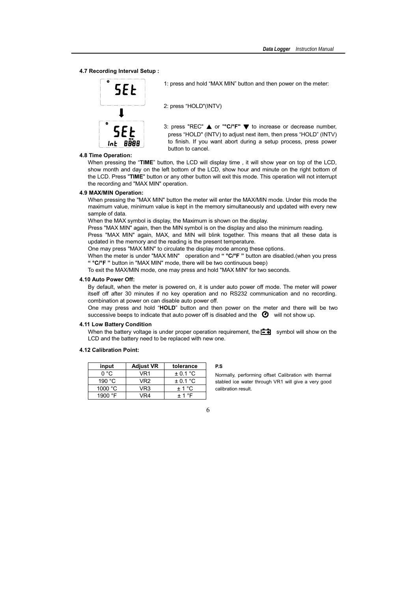#### 4.7 Recording Interval Setup:



1: press and hold "MAX MIN" button and then power on the meter:

2: press "HOI D"(INTV)

3: press "REC"  $\triangle$  or "°C/°F"  $\nabla$  to increase or decrease number, press "HOLD" (INTV) to adjust next item, then press "HOLD" (INTV) to finish. If you want abort during a setup process, press power button to cancel

#### 4.8 Time Operation:

When pressing the "TIME" button, the LCD will display time, it will show year on top of the LCD. show month and day on the left bottom of the LCD, show hour and minute on the right bottom of the LCD. Press "TIME" button or any other button will exit this mode. This operation will not interrupt the recording and "MAX MIN" operation.

#### 4.9 MAX/MIN Operation:

When pressing the "MAX MIN" button the meter will enter the MAX/MIN mode. Under this mode the maximum value, minimum value is kept in the memory simultaneously and updated with every new sample of data.

When the MAX symbol is display, the Maximum is shown on the display.

Press "MAX MIN" again, then the MIN symbol is on the display and also the minimum reading.

Press "MAX MIN" again, MAX, and MIN will blink together. This means that all these data is updated in the memory and the reading is the present temperature.

One may press "MAX MIN" to circulate the display mode among these options.

When the meter is under "MAX MIN" operation and " $\degree$ C/ $\degree$ F" button are disabled.(when you press " °C/°F " button in "MAX MIN" mode, there will be two continuous beep)

To exit the MAX/MIN mode, one may press and hold "MAX MIN" for two seconds.

#### 4.10 Auto Power Off:

By default, when the meter is powered on, it is under auto power off mode. The meter will power itself off after 30 minutes if no key operation and no RS232 communication and no recording. combination at power on can disable auto power off.

One may press and hold "HOLD" button and then power on the meter and there will be two successive beeps to indicate that auto power off is disabled and the  $\bullet$  will not show up.

#### 4.11 Low Battery Condition

When the battery voltage is under proper operation requirement, the  $\begin{bmatrix} -1 \\ +1 \end{bmatrix}$  symbol will show on the LCD and the battery need to be replaced with new one.

#### 4.12 Calibration Point:

| input            | <b>Adjust VR</b> | tolerance    |
|------------------|------------------|--------------|
| ∩°∩              | VR1              | $\pm$ 0.1 °C |
| 190 $°C$         | VR <sub>2</sub>  | $\pm$ 0.1 °C |
| 1000 $\degree$ C | VR3              | $+1°C$       |
| 1900 °F          | VR4              | $+1$ °F      |

#### **P.S**

Normally, performing offset Calibration with thermal stabled ice water through VR1 will give a very good calibration result.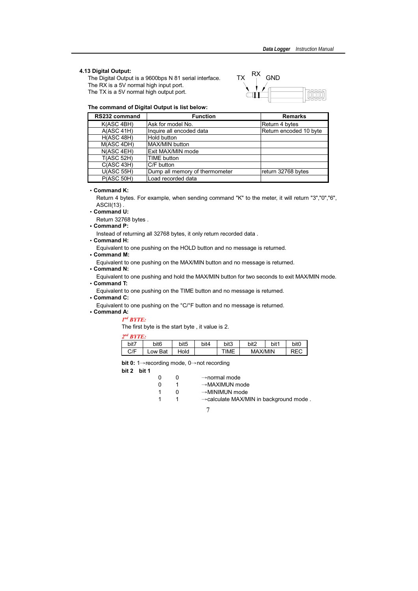#### 4.13 Digital Output:

The Digital Output is a 9600bps N 81 serial interface. The RX is a 5V normal high input port. The TX is a 5V normal high output port.



#### The command of Digital Output is list below:

| RS232 command     | <b>Function</b>                | <b>Remarks</b>         |
|-------------------|--------------------------------|------------------------|
| K(ASC 4BH)        | Ask for model No.              | Return 4 bytes         |
| A(ASC 41H)        | Inquire all encoded data       | Return encoded 10 byte |
| H(ASC 48H)        | Hold button                    |                        |
| M(ASC 4DH)        | MAX/MIN button                 |                        |
| N(ASC 4EH)        | Exit MAX/MIN mode              |                        |
| <b>T(ASC 52H)</b> | <b>TIME</b> button             |                        |
| C(ASC 43H)        | C/F button                     |                        |
| U(ASC 55H)        | Dump all memory of thermometer | return 32768 bytes     |
| P(ASC 50H)        | Load recorded data             |                        |

#### $\cdot$  Command K:

Return 4 bytes. For example, when sending command "K" to the meter, it will return "3","0","6",  $ASCH(13)$ .

• Command U:

Return 32768 bytes.

 $\cdot$  Command P:

Instead of returning all 32768 bytes, it only return recorded data.

• Command H:

Equivalent to one pushing on the HOLD button and no message is returned.

• Command M:

Equivalent to one pushing on the MAX/MIN button and no message is returned.

• Command N:

Equivalent to one pushing and hold the MAX/MIN button for two seconds to exit MAX/MIN mode.

• Command T:

Equivalent to one pushing on the TIME button and no message is returned.

 $\cdot$  Command C:

Equivalent to one pushing on the °C/°F button and no message is returned.

• Command A:

 $I<sup>nd</sup>$  RYTE:

The first byte is the start byte, it value is 2.

|--|--|--|

| ------ |                  |                  |      |      |                |      |                  |
|--------|------------------|------------------|------|------|----------------|------|------------------|
| bit7   | bit <sub>6</sub> | bit <sub>5</sub> | bit4 | bit3 | bit2           | bit1 | bit <sub>0</sub> |
| C/F    | Low Bat          | Hold             |      | TIME | <b>MAX/MIN</b> |      |                  |

bit 0: 1 $\rightarrow$  recording mode, 0 $\rightarrow$  not recording

bit 2 bit 1

| 0        | $\mathbf{U}$ | $\rightarrow$ normal mode                          |
|----------|--------------|----------------------------------------------------|
| $\Omega$ |              | $\rightarrow$ MAXIMUN mode                         |
|          | O            | $\rightarrow$ MINIMUN mode                         |
| -1       |              | $\rightarrow$ calculate MAX/MIN in background mode |
|          |              |                                                    |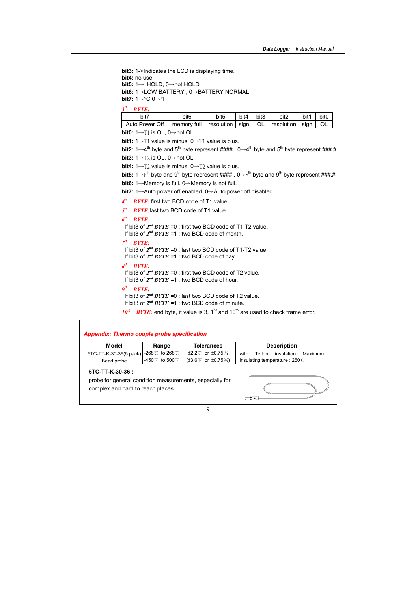bit3: 1->Indicates the LCD is displaying time. bit4: no use bit5:  $1 \rightarrow$  HOLD,  $0 \rightarrow$ not HOLD bit6: 1→LOW BATTERY , 0→BATTERY NORMAL<br>... bit7:  $1 \rightarrow \textdegree C$   $0 \rightarrow \textdegree F$ 

 $3<sup>th</sup>$  RYTE.

| bit <sup>7</sup> | bit <sub>6</sub>                                  | bit <sub>5</sub> | bit4 | bit3 | bit2 | bit1 | bit <sub>C</sub> |
|------------------|---------------------------------------------------|------------------|------|------|------|------|------------------|
| Auto Power Off   | memory full resolution sign   OL Fresolution sign |                  |      |      |      |      |                  |

**bit0:** 1 $\rightarrow$ T1 is OL, 0 $\rightarrow$ not OL

bit1:  $1 \rightarrow T1$  value is minus,  $0 \rightarrow T1$  value is plus.

bit2: 1 $\rightarrow$ 4<sup>th</sup> byte and 5<sup>th</sup> byte represent #### , 0 $\rightarrow$ 4<sup>th</sup> byte and 5<sup>th</sup> byte represent ###.#

bit3:  $1 \rightarrow T2$  is OL,  $0 \rightarrow$ not OL

bit4:  $1\rightarrow T2$  value is minus,  $0\rightarrow T2$  value is plus.

```
bit5: 1\rightarrow8<sup>th</sup> byte and 9<sup>th</sup> byte represent #### , 0\rightarrow8<sup>th</sup> byte and 9<sup>th</sup> byte represent ###.#
```
bit6: 1 $\rightarrow$ Memory is full. 0 $\rightarrow$ Memory is not full.

bit7: 1→Auto power off enabled. 0→Auto power off disabled.

 $4<sup>th</sup>$  BYTE: first two BCD code of T1 value.

 $5<sup>th</sup>$  BYTE: last two BCD code of T1 value

#### $6<sup>th</sup>$  BYTE:

If bit3 of  $2^{nd} BYTE = 0$ : first two BCD code of T1-T2 value. If bit3 of  $2^{nd}$  BYTE =1 : two BCD code of month.

#### $7<sup>th</sup>$  BYTE:

If bit3 of  $2^{nd} BYTE = 0$ : last two BCD code of T1-T2 value.

If bit3 of  $2^{nd}$  BYTE =1 : two BCD code of day.

#### $R^{th}$   $R V T F$

If bit3 of  $2^{nd}$  BYTE =0 : first two BCD code of T2 value.

If bit3 of  $2^{nd}$  BYTE =1 : two BCD code of hour.

#### $9<sup>th</sup>$  BYTE:

If bit3 of  $2^{nd}$  BYTE =0 : last two BCD code of T2 value. If bit3 of  $2^{nd}$  BYTE =1 : two BCD code of minute.

 $10^{th}$  BYTE: end byte, it value is 3, 1<sup>nd</sup> and 10<sup>th</sup> are used to check frame error.

#### Appendix: Thermo couple probe specification

| Model                                 | Range                               | Tolerances                              | <b>Description</b>                      |
|---------------------------------------|-------------------------------------|-----------------------------------------|-----------------------------------------|
| 15TC-TT-K-30-36(5 pack) -268℃ to 268℃ |                                     | $\pm 2.2^{\circ}$ or $\pm 0.75\%$       | with<br>insulation<br>Teflon<br>Maximum |
| Bead probe                            | $-450^{\circ}$ F to $500^{\circ}$ F | ( $\pm 3.6^{\circ}$ F or $\pm 0.75\%$ ) | insulating temperature : 260℃           |

#### $310 - 11 - N - 30 - 30$ .

probe for general condition measurements, especially for complex and hard to reach places.

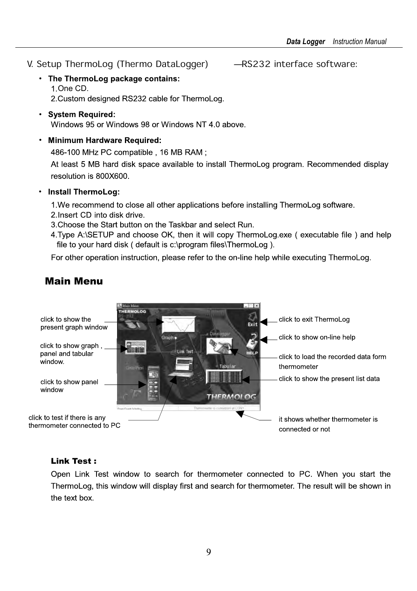- V. Setup ThermoLog (Thermo DataLogger) - RS232 interface software:
	- The ThermoLog package contains: 1. One CD.

2. Custom designed RS232 cable for ThermoLog.

- System Required: Windows 95 or Windows 98 or Windows NT 4.0 above
- Minimum Hardware Required:

486-100 MHz PC compatible, 16 MB RAM;

At least 5 MB hard disk space available to install ThermoLog program. Recommended display resolution is 800X600

• Install ThermoLog:

1. We recommend to close all other applications before installing ThermoLog software.

- 2. Insert CD into disk drive.
- 3. Choose the Start button on the Taskbar and select Run.
- 4. Type A:\SETUP and choose OK, then it will copy ThermoLog.exe (executable file) and help file to your hard disk ( default is c:\program files\ThermoLog ).

For other operation instruction, please refer to the on-line help while executing ThermoLog.



## Main Menu

#### Link Test :

Open Link Test window to search for thermometer connected to PC. When you start the ThermoLog, this window will display first and search for thermometer. The result will be shown in the text box.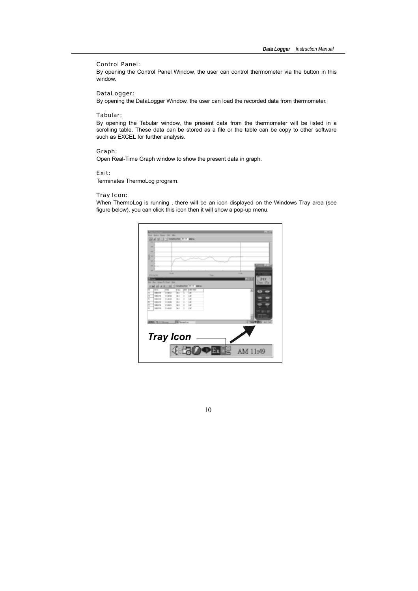#### Control Panel:

By opening the Control Panel Window, the user can control thermometer via the button in this window.

#### DataLogger:

By opening the DataLogger Window, the user can load the recorded data from thermometer.

#### Tabular:

By opening the Tabular window, the present data from the thermometer will be listed in a scrolling table. These data can be stored as a file or the table can be copy to other software such as EXCEL for further analysis.

#### Graph:

Open Real-Time Graph window to show the present data in graph.

 $Exit:$ 

Terminates ThermoLog program.

#### Tray Icon:

When ThermoLog is running, there will be an icon displayed on the Windows Tray area (see figure below), you can click this icon then it will show a pop-up menu.

|                    | Green Steam              | <b>Clean</b>            |                  |                       |                    |             |                 |
|--------------------|--------------------------|-------------------------|------------------|-----------------------|--------------------|-------------|-----------------|
| $\overline{a}$     |                          |                         |                  |                       |                    |             |                 |
| $\overline{a}$     |                          |                         |                  |                       |                    |             |                 |
| ×                  |                          |                         |                  |                       |                    |             |                 |
| u                  |                          |                         |                  |                       |                    |             |                 |
| $\overline{a}$     |                          |                         |                  |                       |                    |             |                 |
| ٠                  |                          |                         |                  |                       |                    |             |                 |
| <b>Life artist</b> |                          | <b>START</b>            |                  |                       | <b>Time</b>        | 11.00       |                 |
|                    |                          |                         |                  |                       |                    |             |                 |
| $\sim$             |                          | Der Gran Trillegir Dris |                  |                       |                    |             | <b>Yhm ills</b> |
| u                  |                          |                         | 17 Naturity      |                       | <b>DESCRIPTION</b> |             |                 |
|                    | $\overline{\phantom{a}}$ | -                       | <b>Selection</b> | <b>CAR MOV</b><br>$-$ |                    |             |                 |
|                    |                          |                         | w                | œ                     |                    |             |                 |
| я                  |                          |                         | $\overline{u}$   | 14                    |                    |             |                 |
| x                  |                          | -                       | is i             | 14                    |                    |             |                 |
|                    |                          |                         | .,               | 1.81                  |                    |             |                 |
| ×                  | MALL TV                  | <b>TURNS</b>            | u.               | 14                    |                    |             |                 |
| ۰                  |                          | <b>Contract</b>         | $\cdots$         | 1.41                  |                    |             |                 |
| ×                  | <b>HEAT IS</b>           |                         |                  |                       |                    |             |                 |
|                    |                          |                         |                  |                       |                    |             |                 |
|                    |                          |                         |                  |                       |                    |             |                 |
|                    |                          |                         |                  |                       |                    |             |                 |
|                    |                          |                         |                  |                       |                    | <b>STAR</b> |                 |
|                    | <b>ENGINEERING</b>       |                         | <b>School</b>    |                       |                    |             |                 |
|                    |                          |                         |                  |                       |                    |             |                 |
|                    |                          |                         |                  |                       |                    |             |                 |
|                    |                          |                         |                  |                       |                    |             |                 |
|                    |                          |                         |                  |                       |                    |             |                 |
|                    |                          |                         |                  |                       |                    |             |                 |
|                    |                          | <b>Tray Icon</b>        |                  | 4.50                  |                    |             |                 |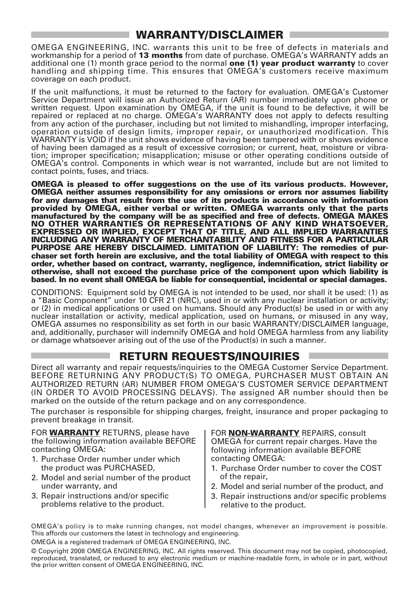## WARRANTY/DISCLAIMER

OMEGA ENGINEERING, INC. warrants this unit to be free of defects in materials and workmanship for a period of 13 months from date of purchase. OMEGA's WARRANTY adds an additional one (1) month grace period to the normal one (1) year product warranty to cover handling and shipping time. This ensures that OMEGA's customers receive maximum coverage on each product.

If the unit malfunctions, it must be returned to the factory for evaluation. OMEGA's Customer Service Department will issue an Authorized Return (AR) number immediately upon phone or written request. Upon examination by OMEGA, if the unit is found to be defective, it will be repaired or replaced at no charge. OMEGA's WARRANTY does not apply to defects resulting from any action of the purchaser, including but not limited to mishandling, improper interfacing, operation outside of design limits, improper repair, or unauthorized modification. This WARRANTY is VOID if the unit shows evidence of having been tampered with or shows evidence of having been damaged as a result of excessive corrosion; or current, heat, moisture or vibration; improper specification; misapplication; misuse or other operating conditions outside of OMEGA's control. Components in which wear is not warranted, include but are not limited to contact points, fuses, and triacs.

OMEGA is pleased to offer suggestions on the use of its various products. However, OMEGA neither assumes responsibility for any omissions or errors nor assumes liability for any damages that result from the use of its products in accordance with information provided by OMEGA, either verbal or written. OMEGA warrants only that the parts manufactured by the company will be as specified and free of defects. OMEGA MAKES NO OTHER WARRANTIES OR REPRESENTATIONS OF ANY KIND WHATSOEVER, EXPRESSED OR IMPLIED, EXCEPT THAT OF TITLE, AND ALL IMPLIED WARRANTIES INCLUDING ANY WARRANTY OF MERCHANTABILITY AND FITNESS FOR A PARTICULAR PURPOSE ARE HEREBY DISCLAIMED. LIMITATION OF LIABILITY: The remedies of purchaser set forth herein are exclusive, and the total liability of OMEGA with respect to this order, whether based on contract, warranty, negligence, indemnification, strict liability or otherwise, shall not exceed the purchase price of the component upon which liability is based. In no event shall OMEGA be liable for consequential, incidental or special damages.

CONDITIONS: Equipment sold by OMEGA is not intended to be used, nor shall it be used: (1) as a "Basic Component" under 10 CFR 21 (NRC), used in or with any nuclear installation or activity; or (2) in medical applications or used on humans. Should any Product(s) be used in or with any nuclear installation or activity, medical application, used on humans, or misused in any way, OMEGA assumes no responsibility as set forth in our basic WARRANTY/ DISCLAIMER language, and, additionally, purchaser will indemnify OMEGA and hold OMEGA harmless from any liability or damage whatsoever arising out of the use of the Product(s) in such a manner.

### RETURN REQUESTS/INQUIRIES

Direct all warranty and repair requests/inquiries to the OMEGA Customer Service Department. BEFORE RETURNING ANY PRODUCT(S) TO OMEGA, PURCHASER MUST OBTAIN AN AUTHORIZED RETURN (AR) NUMBER FROM OMEGA'S CUSTOMER SERVICE DEPARTMENT (IN ORDER TO AVOID PROCESSING DELAYS). The assigned AR number should then be marked on the outside of the return package and on any correspondence.

The purchaser is responsible for shipping charges, freight, insurance and proper packaging to prevent breakage in transit.

FOR **WARRANTY** RETURNS, please have the following information available BEFORE contacting OMEGA:

- 1. Purchase Order number under which the product was PURCHASED,
- 2. Model and serial number of the product under warranty, and
- 3. Repair instructions and/or specific problems relative to the product.

FOR **NON-WARRANTY** REPAIRS, consult OMEGA for current repair charges. Have the following information available BEFORE contacting OMEGA:

- 1. Purchase Order number to cover the COST of the repair,
- 2. Model and serial number of the product, and
- 3. Repair instructions and/or specific problems relative to the product.

OMEGA's policy is to make running changes, not model changes, whenever an improvement is possible. This affords our customers the latest in technology and engineering. OMEGA is a registered trademark of OMEGA ENGINEERING, INC.

© Copyright 2008 OMEGA ENGINEERING, INC. All rights reserved. This document may not be copied, photocopied, reproduced, translated, or reduced to any electronic medium or machine-readable form, in whole or in part, without the prior written consent of OMEGA ENGINEERING, INC.